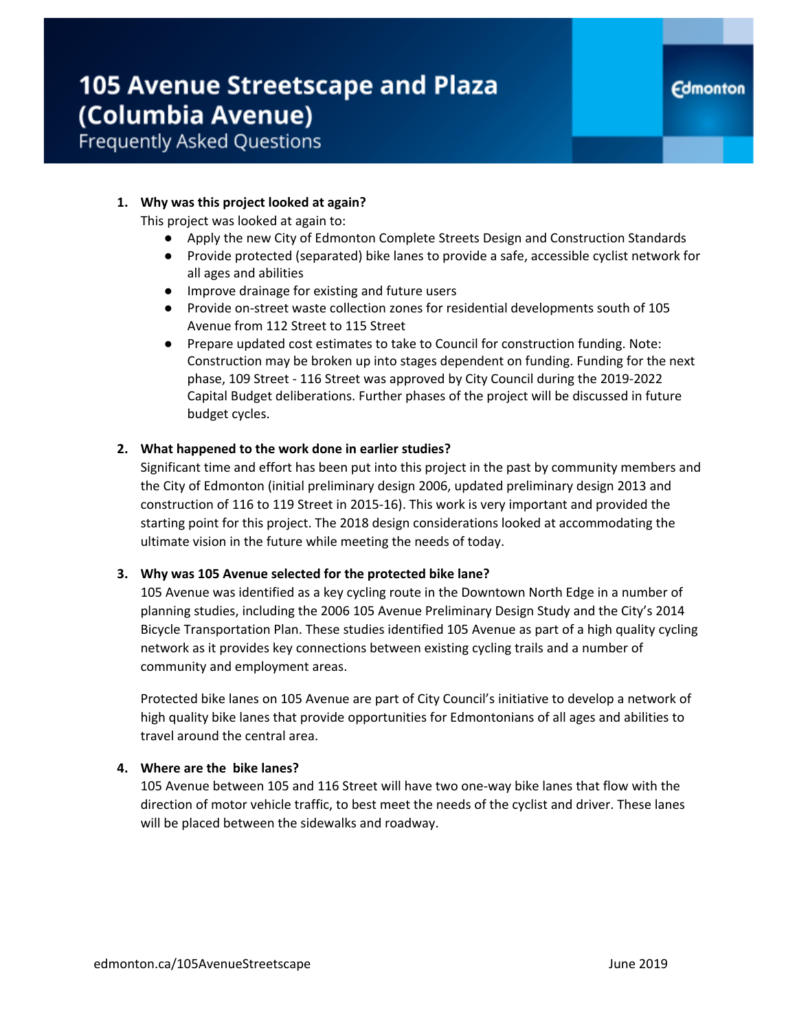### **105 Avenue Streetscape and Plaza** (Columbia Avenue) **Frequently Asked Questions**

#### **1. Why was this project looked at again?**

This project was looked at again to:

- Apply the new City of Edmonton Complete Streets Design and Construction Standards
- Provide protected (separated) bike lanes to provide a safe, accessible cyclist network for all ages and abilities
- Improve drainage for existing and future users
- Provide on-street waste collection zones for residential developments south of 105 Avenue from 112 Street to 115 Street
- Prepare updated cost estimates to take to Council for construction funding. Note: Construction may be broken up into stages dependent on funding. Funding for the next phase, 109 Street - 116 Street was approved by City Council during the 2019-2022 Capital Budget deliberations. Further phases of the project will be discussed in future budget cycles.

#### **2. What happened to the work done in earlier studies?**

Significant time and effort has been put into this project in the past by community members and the City of Edmonton (initial preliminary design 2006, updated preliminary design 2013 and construction of 116 to 119 Street in 2015-16). This work is very important and provided the starting point for this project. The 2018 design considerations looked at accommodating the ultimate vision in the future while meeting the needs of today.

#### **3. Why was 105 Avenue selected for the protected bike lane?**

105 Avenue was identified as a key cycling route in the Downtown North Edge in a number of planning studies, including the 2006 105 Avenue Preliminary Design Study and the City's 2014 Bicycle Transportation Plan. These studies identified 105 Avenue as part of a high quality cycling network as it provides key connections between existing cycling trails and a number of community and employment areas.

Protected bike lanes on 105 Avenue are part of City Council's initiative to develop a network of high quality bike lanes that provide opportunities for Edmontonians of all ages and abilities to travel around the central area.

### **4. Where are the bike lanes?**

105 Avenue between 105 and 116 Street will have two one-way bike lanes that flow with the direction of motor vehicle traffic, to best meet the needs of the cyclist and driver. These lanes will be placed between the sidewalks and roadway.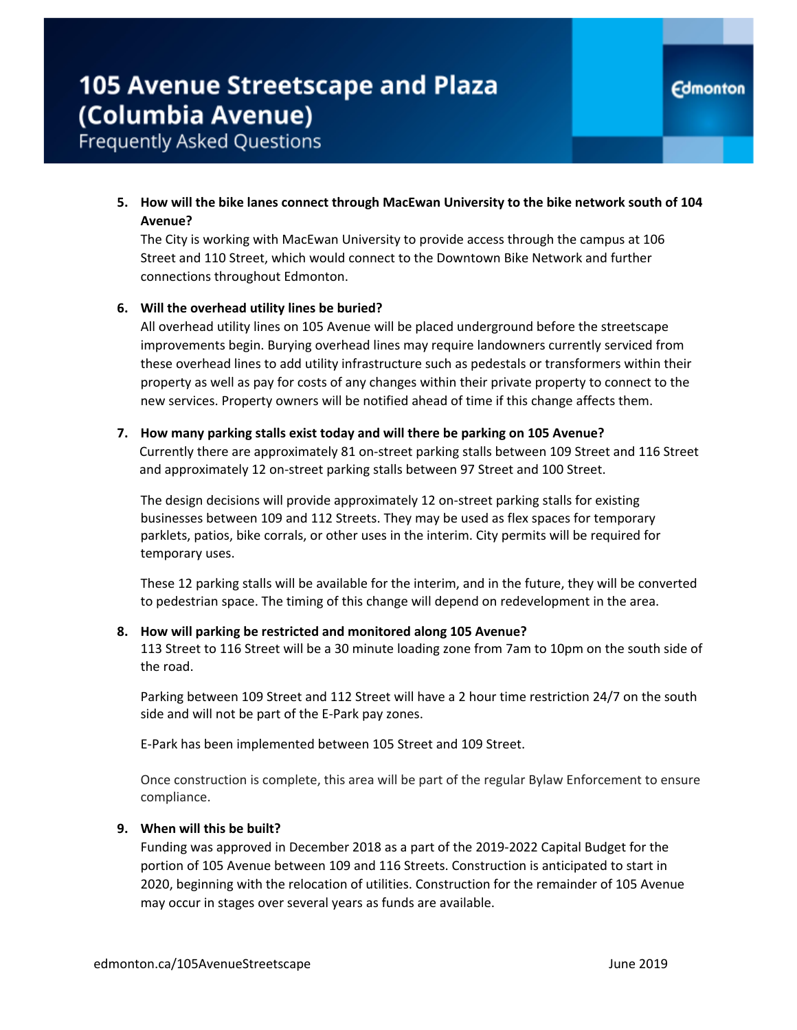**Frequently Asked Questions** 

**5. How will the bike lanes connect through MacEwan University to the bike network south of 104 Avenue?**

The City is working with MacEwan University to provide access through the campus at 106 Street and 110 Street, which would connect to the Downtown Bike Network and further connections throughout Edmonton.

#### **6. Will the overhead utility lines be buried?**

All overhead utility lines on 105 Avenue will be placed underground before the streetscape improvements begin. Burying overhead lines may require landowners currently serviced from these overhead lines to add utility infrastructure such as pedestals or transformers within their property as well as pay for costs of any changes within their private property to connect to the new services. Property owners will be notified ahead of time if this change affects them.

#### **7. How many parking stalls exist today and will there be parking on 105 Avenue?**

Currently there are approximately 81 on-street parking stalls between 109 Street and 116 Street and approximately 12 on-street parking stalls between 97 Street and 100 Street.

The design decisions will provide approximately 12 on-street parking stalls for existing businesses between 109 and 112 Streets. They may be used as flex spaces for temporary parklets, patios, bike corrals, or other uses in the interim. City permits will be required for temporary uses.

These 12 parking stalls will be available for the interim, and in the future, they will be converted to pedestrian space. The timing of this change will depend on redevelopment in the area.

#### **8. How will parking be restricted and monitored along 105 Avenue?**

113 Street to 116 Street will be a 30 minute loading zone from 7am to 10pm on the south side of the road.

Parking between 109 Street and 112 Street will have a 2 hour time restriction 24/7 on the south side and will not be part of the E-Park pay zones.

E-Park has been implemented between 105 Street and 109 Street.

Once construction is complete, this area will be part of the regular Bylaw Enforcement to ensure compliance.

#### **9. When will this be built?**

Funding was approved in December 2018 as a part of the 2019-2022 Capital Budget for the portion of 105 Avenue between 109 and 116 Streets. Construction is anticipated to start in 2020, beginning with the relocation of utilities. Construction for the remainder of 105 Avenue may occur in stages over several years as funds are available.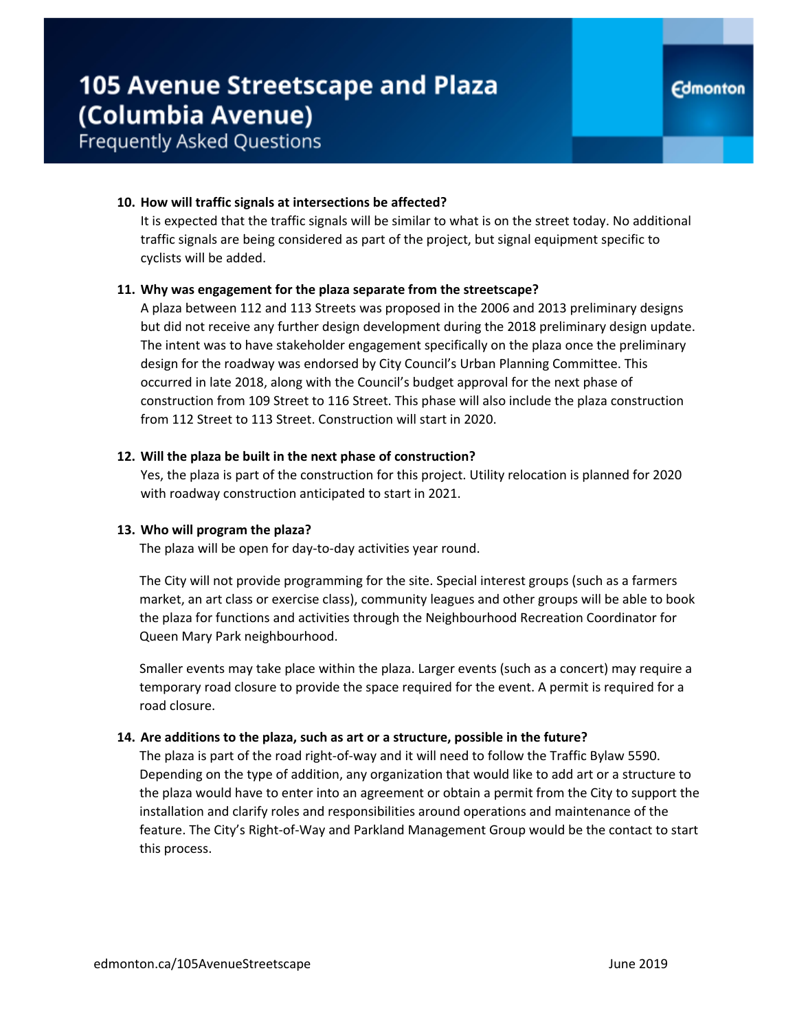## **105 Avenue Streetscape and Plaza** (Columbia Avenue)

### **Frequently Asked Questions**

### **10. How will traffic signals at intersections be affected?**

It is expected that the traffic signals will be similar to what is on the street today. No additional traffic signals are being considered as part of the project, but signal equipment specific to cyclists will be added.

#### **11. Why was engagement for the plaza separate from the streetscape?**

A plaza between 112 and 113 Streets was proposed in the 2006 and 2013 preliminary designs but did not receive any further design development during the 2018 preliminary design update. The intent was to have stakeholder engagement specifically on the plaza once the preliminary design for the roadway was endorsed by City Council's Urban Planning Committee. This occurred in late 2018, along with the Council's budget approval for the next phase of construction from 109 Street to 116 Street. This phase will also include the plaza construction from 112 Street to 113 Street. Construction will start in 2020.

#### **12. Will the plaza be built in the next phase of construction?**

Yes, the plaza is part of the construction for this project. Utility relocation is planned for 2020 with roadway construction anticipated to start in 2021.

### **13. Who will program the plaza?**

The plaza will be open for day-to-day activities year round.

The City will not provide programming for the site. Special interest groups (such as a farmers market, an art class or exercise class), community leagues and other groups will be able to book the plaza for functions and activities through the Neighbourhood Recreation Coordinator for Queen Mary Park neighbourhood.

Smaller events may take place within the plaza. Larger events (such as a concert) may require a temporary road closure to provide the space required for the event. A permit is required for a road closure.

### **14. Are additions to the plaza, such as art or a structure, possible in the future?**

The plaza is part of the road right-of-way and it will need to follow the Traffic Bylaw 5590. Depending on the type of addition, any organization that would like to add art or a structure to the plaza would have to enter into an agreement or obtain a permit from the City to support the installation and clarify roles and responsibilities around operations and maintenance of the feature. The City's Right-of-Way and Parkland Management Group would be the contact to start this process.